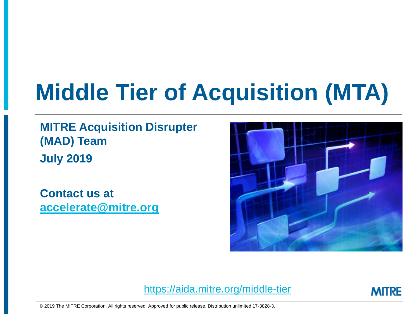# **Middle Tier of Acquisition (MTA)**

**MITRE Acquisition Disrupter (MAD) Team July 2019**

**Contact us at [accelerate@mitre.org](mailto:accelerate@mitre.org)**



<https://aida.mitre.org/middle-tier>



© 2019 The MITRE Corporation. All rights reserved. Approved for public release. Distribution unlimited 17-3828-3.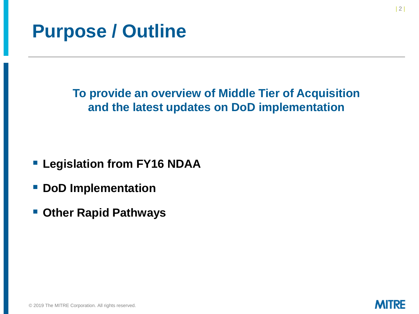## **Purpose / Outline**

**To provide an overview of Middle Tier of Acquisition and the latest updates on DoD implementation**

- **E** Legislation from FY16 NDAA
- **DoD Implementation**
- **Other Rapid Pathways**



**MITRE**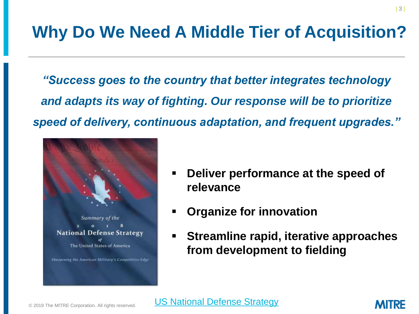## **Why Do We Need A Middle Tier of Acquisition?**

*"Success goes to the country that better integrates technology and adapts its way of fighting. Our response will be to prioritize speed of delivery, continuous adaptation, and frequent upgrades."*



- **Deliver performance at the speed of relevance**
- **Organize for innovation**
- **Streamline rapid, iterative approaches from development to fielding**

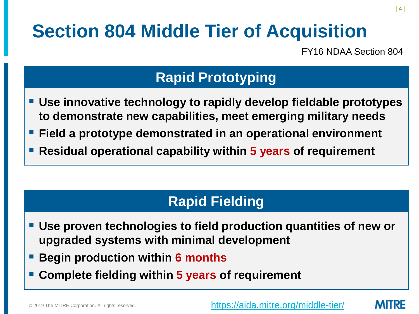# **Section 804 Middle Tier of Acquisition**

FY16 NDAA Section 804

### **Rapid Prototyping**

- **Use innovative technology to rapidly develop fieldable prototypes to demonstrate new capabilities, meet emerging military needs**
- **Field a prototype demonstrated in an operational environment**
- **Residual operational capability within 5 years of requirement**

### **Rapid Fielding**

- **Use proven technologies to field production quantities of new or upgraded systems with minimal development**
- **Begin production within 6 months**
- **Complete fielding within 5 years of requirement**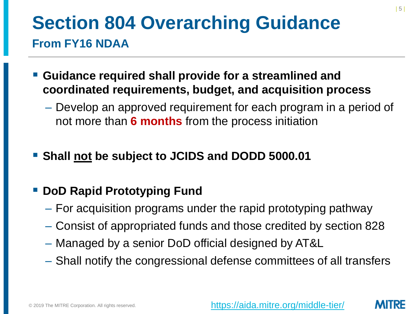## **Section 804 Overarching Guidance From FY16 NDAA**

- **Guidance required shall provide for a streamlined and coordinated requirements, budget, and acquisition process** 
	- Develop an approved requirement for each program in a period of not more than **6 months** from the process initiation
- Shall not be subject to JCIDS and DODD 5000.01

### **DoD Rapid Prototyping Fund**

- For acquisition programs under the rapid prototyping pathway
- Consist of appropriated funds and those credited by section 828
- Managed by a senior DoD official designed by AT&L
- Shall notify the congressional defense committees of all transfers

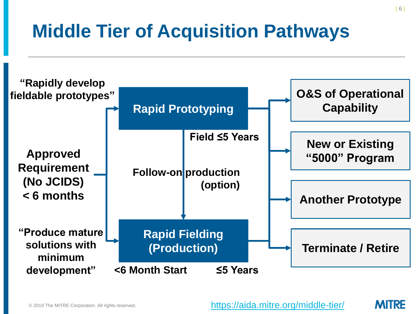# **Middle Tier of Acquisition Pathways**



| 6 |

MITRE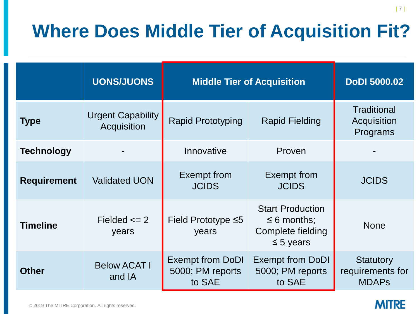# **Where Does Middle Tier of Acquisition Fit?**

|                    | <b>UONS/JUONS</b>                       | <b>Middle Tier of Acquisition</b>                     |                                                                                    | <b>DoDI 5000.02</b>                                  |
|--------------------|-----------------------------------------|-------------------------------------------------------|------------------------------------------------------------------------------------|------------------------------------------------------|
| <b>Type</b>        | <b>Urgent Capability</b><br>Acquisition | <b>Rapid Prototyping</b>                              | <b>Rapid Fielding</b>                                                              | <b>Traditional</b><br>Acquisition<br>Programs        |
| <b>Technology</b>  |                                         | Innovative                                            | Proven                                                                             |                                                      |
| <b>Requirement</b> | <b>Validated UON</b>                    | <b>Exempt from</b><br><b>JCIDS</b>                    | <b>Exempt from</b><br><b>JCIDS</b>                                                 | <b>JCIDS</b>                                         |
| <b>Timeline</b>    | Fielded $\leq$ 2<br>years               | Field Prototype $\leq 5$<br>years                     | <b>Start Production</b><br>$\leq 6$ months;<br>Complete fielding<br>$\leq$ 5 years | <b>None</b>                                          |
| <b>Other</b>       | <b>Below ACAT I</b><br>and IA           | <b>Exempt from DoDI</b><br>5000; PM reports<br>to SAE | <b>Exempt from DoDI</b><br>5000; PM reports<br>to SAE                              | <b>Statutory</b><br>requirements for<br><b>MDAPs</b> |

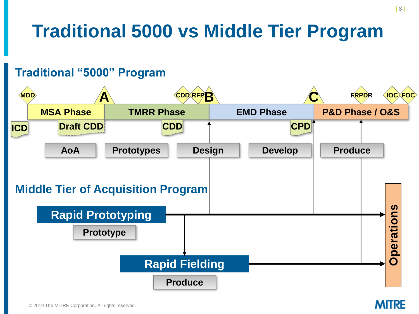# **Traditional 5000 vs Middle Tier Program**

#### **MDD A CDD RFPB C FRPDR MSA Phase TMRR Phase EMD Phase P&D Phase / O&S IOC FOC CPD AoA ICD Draft CDD CDD Traditional "5000" Program Prototypes Rapid Prototyping Rapid Fielding Design Develop Operations Middle Tier of Acquisition Program Prototype Produce Produce**

#### **MITRE**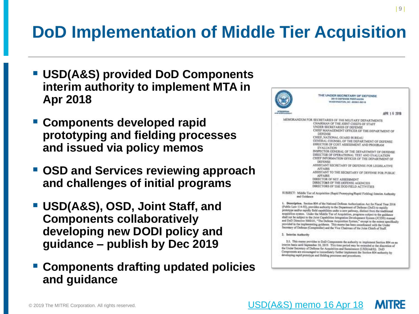## **DoD Implementation of Middle Tier Acquisition**

- USD(A&S) provided DoD Components **interim authority to implement MTA in Apr 2018**
- **Components developed rapid prototyping and fielding processes and issued via policy memos**
- **OSD and Services reviewing approach and challenges of initial programs**
- **USD(A&S), OSD, Joint Staff, and Components collaboratively developing new DODI policy and guidance – publish by Dec 2019**
- **Components drafting updated policies and guidance**



prototype and/or moidly field capabilities under a new pathway, distinct from the traditional acquisition system. Under the Middle Tier of Acquisition, programs subject to the guidance shall not be subject to the Joint Capabilities Integration Development System (JCIDS) manual and DoD Streetive 5000.01, "The Defense Acquisition System," except to the extent specifically provided in the implementing guidance. This memo has been coordinated with the Under Secretary of Defense (Componiler) and the Vice Chairman of the Joint Chiefs of Staff.

2. Interim Authority

[USD\(A&S\) memo 16 Apr 18](https://aida.mitre.org/wp-content/uploads/2018/04/OSD-memo-on-804.pdf)

2.1. This memo provides to DoD Components the authority to implement Section 804 on an interior basis until September 30, 2019. This time period may be extended at the discretion of the Under Secretary of Defense for Acquisition and Sustainment (USD(A&S)). DoD Components are excounged to immediately further implement the Section 804 nuthority by developing rapid prototype and fielding processes and procedures.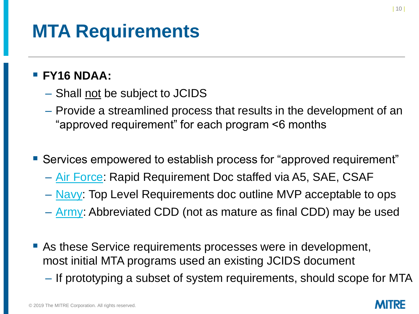## **MTA Requirements**

#### ▪ **FY16 NDAA:**

- Shall not be subject to JCIDS
- Provide a streamlined process that results in the development of an "approved requirement" for each program <6 months
- Services empowered to establish process for "approved requirement"
	- [Air Force](https://aida.mitre.org/wp-content/uploads/2019/06/A5R-Requirements-Guidebook-Vol-5-11-Jan-19.pdf): Rapid Requirement Doc staffed via A5, SAE, CSAF
	- [Navy:](https://news.usni.org/2018/05/10/document-dept-navy-rapid-acquisition-guidance) Top Level Requirements doc outline MVP acceptable to ops
	- [Army:](https://aida.mitre.org/wp-content/uploads/2019/06/Army-A-CDD-Memo-7-Jun-19.pdf) Abbreviated CDD (not as mature as final CDD) may be used
- As these Service requirements processes were in development, most initial MTA programs used an existing JCIDS document
	- If prototyping a subset of system requirements, should scope for MTA

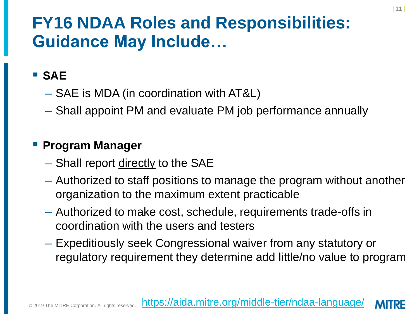### **FY16 NDAA Roles and Responsibilities: Guidance May Include…**

### ▪ **SAE**

- SAE is MDA (in coordination with AT&L)
- Shall appoint PM and evaluate PM job performance annually

#### ▪ **Program Manager**

- Shall report directly to the SAE
- Authorized to staff positions to manage the program without another organization to the maximum extent practicable
- Authorized to make cost, schedule, requirements trade-offs in coordination with the users and testers
- Expeditiously seek Congressional waiver from any statutory or regulatory requirement they determine add little/no value to program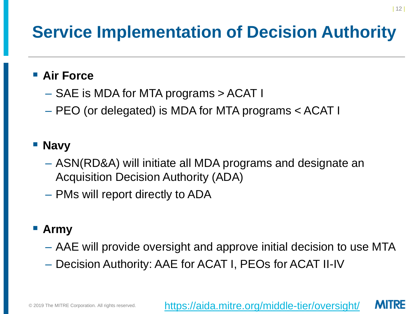## **Service Implementation of Decision Authority**

#### ■ Air Force

- SAE is MDA for MTA programs > ACAT I
- PEO (or delegated) is MDA for MTA programs < ACAT I

### ▪ **Navy**

- ASN(RD&A) will initiate all MDA programs and designate an Acquisition Decision Authority (ADA)
- PMs will report directly to ADA

### ▪ **Army**

- AAE will provide oversight and approve initial decision to use MTA
- Decision Authority: AAE for ACAT I, PEOs for ACAT II-IV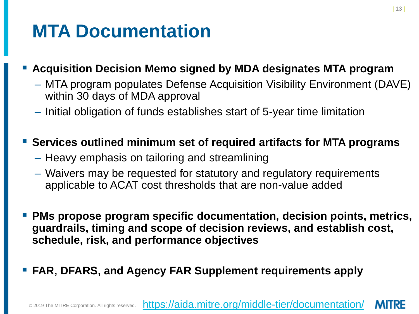## **MTA Documentation**

#### ▪ **Acquisition Decision Memo signed by MDA designates MTA program**

- MTA program populates Defense Acquisition Visibility Environment (DAVE) within 30 days of MDA approval
- Initial obligation of funds establishes start of 5-year time limitation

#### **Services outlined minimum set of required artifacts for MTA programs**

- Heavy emphasis on tailoring and streamlining
- Waivers may be requested for statutory and regulatory requirements applicable to ACAT cost thresholds that are non-value added
- **PMs propose program specific documentation, decision points, metrics, guardrails, timing and scope of decision reviews, and establish cost, schedule, risk, and performance objectives**
- **EXALERT FARS, and Agency FAR Supplement requirements apply**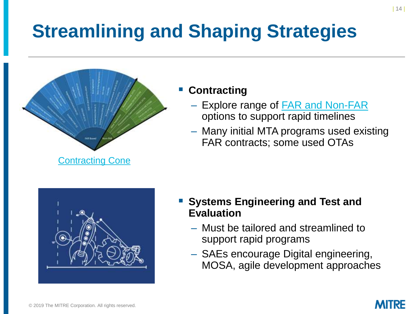# **Streamlining and Shaping Strategies**



#### **Contracting**

- Explore range of **FAR and Non-FAR** options to support rapid timelines
- Many initial MTA programs used existing FAR contracts; some used OTAs



- **Systems Engineering and Test and Evaluation**
	- Must be tailored and streamlined to support rapid programs
	- SAEs encourage Digital engineering, MOSA, agile development approaches

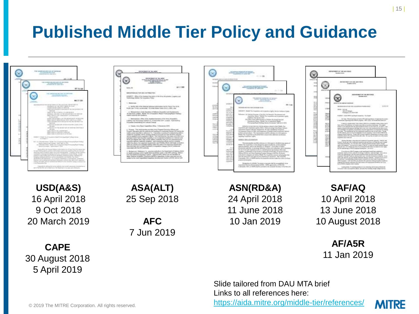## **Published Middle Tier Policy and Guidance**



Slide tailored from DAU MTA brief Links to all references here:

<https://aida.mitre.org/middle-tier/references/>

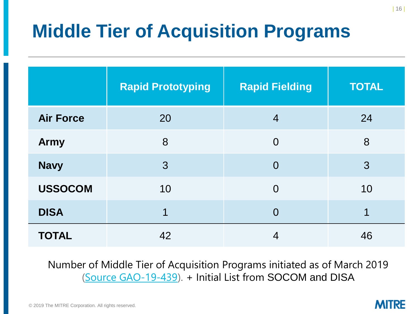# **Middle Tier of Acquisition Programs**

|                  | <b>Rapid Prototyping</b> | <b>Rapid Fielding</b> | <b>TOTAL</b> |
|------------------|--------------------------|-----------------------|--------------|
| <b>Air Force</b> | 20                       | $\overline{4}$        | 24           |
| <b>Army</b>      | 8                        | $\Omega$              | 8            |
| <b>Navy</b>      | $\mathcal{S}$            | $\overline{0}$        | 3            |
| <b>USSOCOM</b>   | 10                       | $\Omega$              | 10           |
| <b>DISA</b>      | 1                        | $\Omega$              | 1            |
| <b>TOTAL</b>     | 42                       | 4                     | 46           |

Number of Middle Tier of Acquisition Programs initiated as of March 2019 [\(Source GAO-19-439](https://www.gao.gov/assets/700/699527.pdf)). + Initial List from SOCOM and DISA

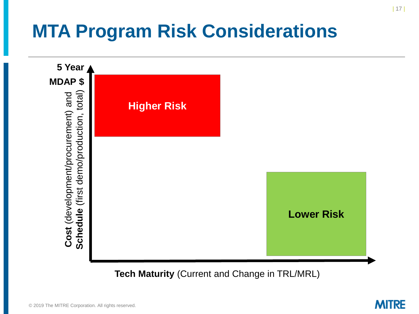# **MTA Program Risk Considerations**



**Tech Maturity** (Current and Change in TRL/MRL)

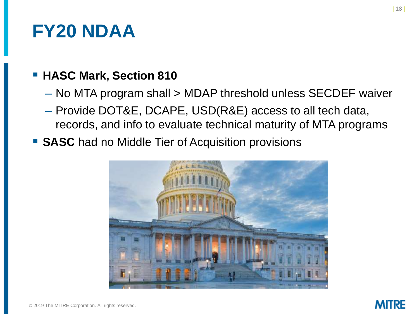## **FY20 NDAA**

#### **E** HASC Mark, Section 810

- No MTA program shall > MDAP threshold unless SECDEF waiver
- Provide DOT&E, DCAPE, USD(R&E) access to all tech data, records, and info to evaluate technical maturity of MTA programs
- SASC had no Middle Tier of Acquisition provisions

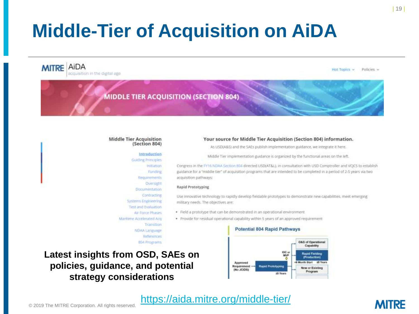# **Middle-Tier of Acquisition on AiDA**

**MITRE** AIDA acquisition in the digital age

Policies -Hot Topics

**MIDDLE TIER ACQUISITION (SECTION 804)** 

#### **Middle Tier Acquisition** (Section 804)

#### Introduction

Guiding Principles **Usiliation** Funding Requirements Oversight Documentation Contracting **Systems Engineering** Test and Evaluation Air Force Phases

Maritime Accelerated Acu Transition NDAA Language References **BSA Programs** 

#### Your source for Middle Tier Acquisition (Section 804) information.

As USD(A&S) and the SAEs publish implementation guidance, we integrate it here.

Middle Tier implementation guidance is organized by the functional areas on the left.

Congress in the FY16 NDAA Section 804 directed USD(AT&L), in consultation with USD Comptroller and VCJCS to establish guidance for a "middle tier" of acquisition programs that are intended to be completed in a period of 2-5 years via two acquisition pathways:

#### Rapid Prototyping

Use innovative technology to rapidly develop fieldable prototypes to demonstrate new capabilities, meet emerging military needs. The objectives are:

- · Field a prototype that can be demonstrated in an operational environment.
- · Provide for residual operational capability within 5 years of an approved requirement

#### **Potential 804 Rapid Pathways**





#### <https://aida.mitre.org/middle-tier/>

#### **MITRE**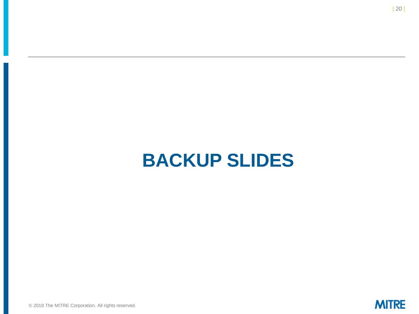## **BACKUP SLIDES**

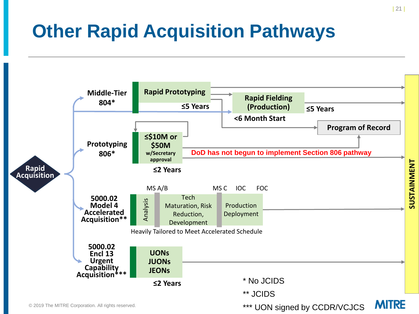# **Other Rapid Acquisition Pathways**

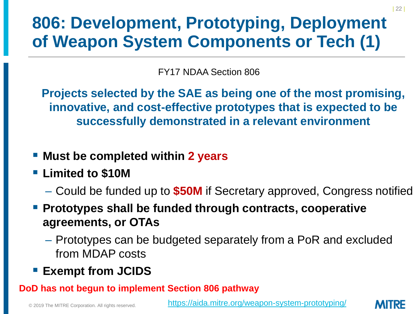## **806: Development, Prototyping, Deployment of Weapon System Components or Tech (1)**

FY17 NDAA Section 806

**Projects selected by the SAE as being one of the most promising, innovative, and cost-effective prototypes that is expected to be successfully demonstrated in a relevant environment**

- Must be completed within 2 years
- **Limited to \$10M**
	- Could be funded up to **\$50M** if Secretary approved, Congress notified
- Prototypes shall be funded through contracts, cooperative **agreements, or OTAs**
	- Prototypes can be budgeted separately from a PoR and excluded from MDAP costs
- **Exempt from JCIDS**

#### **DoD has not begun to implement Section 806 pathway**

<https://aida.mitre.org/weapon-system-prototyping/>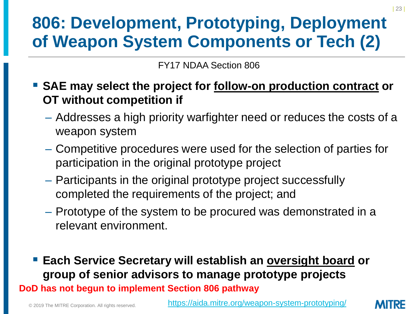## **806: Development, Prototyping, Deployment of Weapon System Components or Tech (2)**

FY17 NDAA Section 806

- SAE may select the project for follow-on production contract or **OT without competition if**
	- Addresses a high priority warfighter need or reduces the costs of a weapon system
	- Competitive procedures were used for the selection of parties for participation in the original prototype project
	- Participants in the original prototype project successfully completed the requirements of the project; and
	- Prototype of the system to be procured was demonstrated in a relevant environment.
- Each Service Secretary will establish an oversight board or **group of senior advisors to manage prototype projects DoD has not begun to implement Section 806 pathway**

<https://aida.mitre.org/weapon-system-prototyping/>

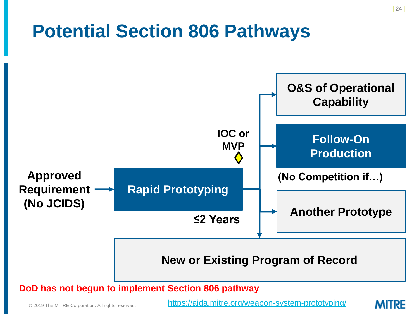## **Potential Section 806 Pathways**



**DoD has not begun to implement Section 806 pathway**

© 2019 The MITRE Corporation. All rights reserved.

<https://aida.mitre.org/weapon-system-prototyping/>

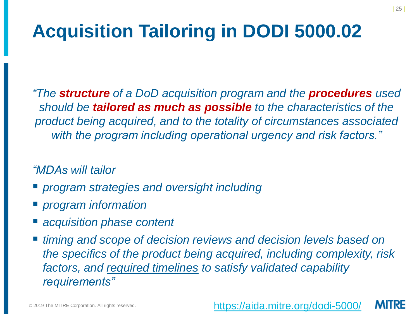# **Acquisition Tailoring in DODI 5000.02**

*"The structure of a DoD acquisition program and the procedures used should be tailored as much as possible to the characteristics of the product being acquired, and to the totality of circumstances associated with the program including operational urgency and risk factors."* 

#### *"MDAs will tailor*

- *program strategies and oversight including*
- *program information*
- acquisition phase content
- timing and scope of decision reviews and decision levels based on *the specifics of the product being acquired, including complexity, risk factors, and required timelines to satisfy validated capability requirements"*

<https://aida.mitre.org/dodi-5000/>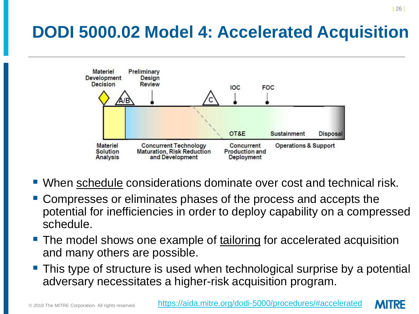## **DODI 5000.02 Model 4: Accelerated Acquisition**



- When schedule considerations dominate over cost and technical risk.
- Compresses or eliminates phases of the process and accepts the potential for inefficiencies in order to deploy capability on a compressed schedule.
- The model shows one example of tailoring for accelerated acquisition and many others are possible.
- **This type of structure is used when technological surprise by a potential** adversary necessitates a higher-risk acquisition program.

MURE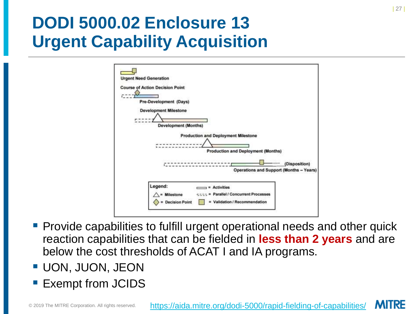## **DODI 5000.02 Enclosure 13 Urgent Capability Acquisition**

| <b>Urgent Need Generation</b>                                    |                                                                                                                                   |
|------------------------------------------------------------------|-----------------------------------------------------------------------------------------------------------------------------------|
| <b>Course of Action Decision Point</b><br>Pre-Development (Days) |                                                                                                                                   |
| <b>Development Milestone</b>                                     | <b>Development (Months)</b>                                                                                                       |
|                                                                  | <b>Production and Deployment Milestone</b><br><b>Production and Deployment (Months)</b>                                           |
|                                                                  | " (Disposition)<br><b>Operations and Support (Months - Years)</b>                                                                 |
| Legend:                                                          | $=$ Activities<br><b>Parallel / Concurrent Processes</b><br>$=$ Milestone<br><b>Decision Point</b><br>Validation / Recommendation |
|                                                                  |                                                                                                                                   |

- Provide capabilities to fulfill urgent operational needs and other quick reaction capabilities that can be fielded in **less than 2 years** and are below the cost thresholds of ACAT I and IA programs.
- UON, JUON, JEON
- **Exempt from JCIDS**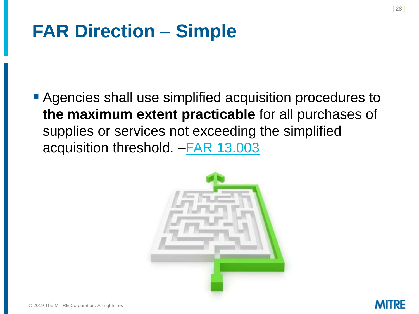## **FAR Direction – Simple**

**• Agencies shall use simplified acquisition procedures to the maximum extent practicable** for all purchases of supplies or services not exceeding the simplified acquisition threshold. [–FAR 13.003](https://openthefar.com/regulations/13/Subpart%2013_1.html#wp1125375)



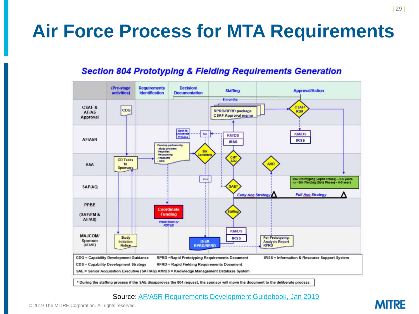## **Air Force Process for MTA Requirements**

#### **Section 804 Prototyping & Fielding Requirements Generation**



#### Source: [AF/A5R Requirements Development Guidebook, Jan 2019](https://aida.mitre.org/wp-content/uploads/2019/06/A5R-Requirements-Guidebook-Vol-5-11-Jan-19.pdf)

**MITRE**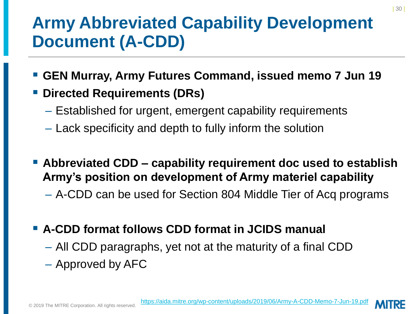## **Army Abbreviated Capability Development Document (A-CDD)**

- **GEN Murray, Army Futures Command, issued memo 7 Jun 19**
- **Directed Requirements (DRs)** 
	- Established for urgent, emergent capability requirements
	- Lack specificity and depth to fully inform the solution
- Abbreviated CDD capability requirement doc used to establish **Army's position on development of Army materiel capability**
	- A-CDD can be used for Section 804 Middle Tier of Acq programs
- **A-CDD format follows CDD format in JCIDS manual**
	- All CDD paragraphs, yet not at the maturity of a final CDD
	- Approved by AFC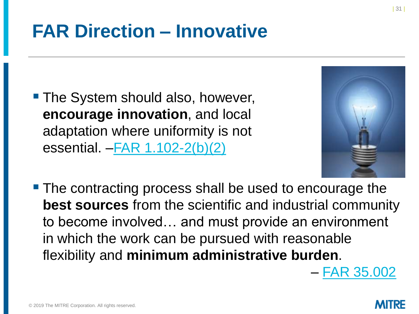# **FAR Direction – Innovative**

■ The System should also, however, **encourage innovation**, and local adaptation where uniformity is not essential. –[FAR 1.102-2\(b\)\(2\)](https://openthefar.com/regulations/1/Subpart%201_1.html#wp1130796)



- The contracting process shall be used to encourage the **best sources** from the scientific and industrial community to become involved… and must provide an environment in which the work can be pursued with reasonable flexibility and **minimum administrative burden**.
	- [FAR 35.002](https://openthefar.com/regulations/35/FARTOCP35.html#wp223483)